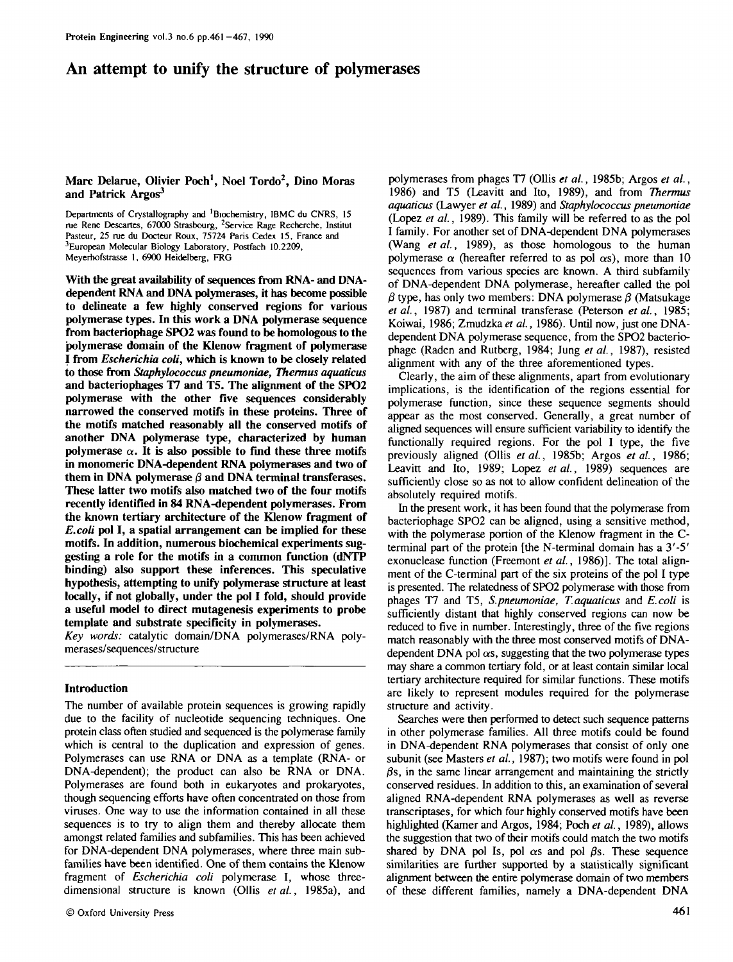# An attempt to unify the structure of polymerases

# **Marc Delarue, Olivier Poch<sup>1</sup> , Noel Tordo<sup>2</sup> , Dino Moras and Patrick Argos<sup>3</sup>**

Departments of Crystallography and 'Biochemistry, IBMC du CNRS, 15 rue Rene Descartes, 67000 Strasbourg, <sup>2</sup>Service Rage Recherche, Institut Pasteur, 25 rue du Docteur Roux, 75724 Paris Cedex 15, France and <sup>3</sup>European Molecular Biology Laboratory, Postfach 10.2209, Meyerhofstrasse 1, 6900 Heidelberg, FRG

**With the great availability of sequences from RNA- and DNAdependent RNA and DNA polymerases, it has become possible to delineate a few highly conserved regions for various polymerase types. In this work a DNA polymerase sequence from bacteriophage SPO2 was found to be homologous to the polymerase domain of the Klenow fragment of polymerase I from** *Escherichia coli,* **which is known to be closely related to those from** *Staphylococcus pneumoniae, Thermits aquaticus* **and bacteriophages T7 and T5. The alignment of the SPO2 polymerase with the other five sequences considerably narrowed the conserved motifs in these proteins. Three of the motifs matched reasonably all the conserved motifs of another DNA polymerase type, characterized by human** polymerase  $\alpha$ . It is also possible to find these three motifs **in monomeric DNA-dependent RNA polymerases and two of** them in DNA polymerase  $\beta$  and DNA terminal transferases. **These latter two motifs also matched two of the four motifs recently identified in 84 RNA-dependent polymerases. From the known tertiary architecture of the Klenow fragment of** *E.coli* **pol I, a spatial arrangement can be implied for these motifs. In addition, numerous biochemical experiments suggesting a role for the motifs in a common function (dNTP binding) also support these inferences. This speculative hypothesis, attempting to unify polymerase structure at least locally, if not globally, under the pol I fold, should provide a useful model to direct mutagenesis experiments to probe template and substrate specificity in polymerases.**

*Key words:* catalytic domain/DNA polymerases/RNA polymerases/sequences/structure

#### **Introduction**

The number of available protein sequences is growing rapidly due to the facility of nucleotide sequencing techniques. One protein class often studied and sequenced is the polymerase family which is central to the duplication and expression of genes. Polymerases can use RNA or DNA as a template (RNA- or DNA-dependent); the product can also be RNA or DNA. Polymerases are found both in eukaryotes and prokaryotes, though sequencing efforts have often concentrated on those from viruses. One way to use the information contained in all these sequences is to try to align them and thereby allocate them amongst related families and subfamilies. This has been achieved for DNA-dependent DNA polymerases, where three main subfamilies have been identified. One of them contains the Klenow fragment of *Escherichia coli* polymerase I, whose threedimensional structure is known (Ollis *et al.*, 1985a), and

polymerases from phages 17 (Ollis *et al.,* 1985b; Argos *et al.,* 1986) and T5 (Leavitt and Ito, 1989), and from *Thermus aquaticus* (Lawyer *et al.,* 1989) and *Staphylococcus pneumoniae* (Lopez *et al.,* 1989). This family will be referred to as the pol I family. For another set of DNA-dependent DNA polymerases (Wang *et al.,* 1989), as those homologous to the human polymerase  $\alpha$  (hereafter referred to as pol  $\alpha s$ ), more than 10 sequences from various species are known. A third subfamily of DNA-dependent DNA polymerase, hereafter called the pol  $\beta$  type, has only two members: DNA polymerase  $\beta$  (Matsukage *etal.,* 1987) and terminal transferase (Peterson *etai,* 1985; Koiwai, 1986; Zmudzka *et al.,* 1986). Until now, just one DNAdependent DNA polymerase sequence, from the SPO2 bacteriophage (Raden and Rutberg, 1984; Jung *et al.,* 1987), resisted alignment with any of the three aforementioned types.

Clearly, the aim of these alignments, apart from evolutionary implications, is the identification of the regions essential for polymerase function, since these sequence segments should appear as the most conserved. Generally, a great number of aligned sequences will ensure sufficient variability to identify the functionally required regions. For the pol I type, the five previously aligned (Ollis *etal.,* 1985b; Argos *etal.,* 1986; Leavitt and Ito, 1989; Lopez *et al.*, 1989) sequences are sufficiently close so as not to allow confident delineation of the absolutely required motifs.

In the present work, it has been found that the polymerase from bacteriophage SPO2 can be aligned, using a sensitive method, with the polymerase portion of the Klenow fragment in the Cterminal part of the protein [the N-terminal domain has a 3'-5' exonuclease function (Freemont *et al.,* 1986)]. The total alignment of the C-terminal part of the six proteins of the pol I type is presented. The relatedness of SPO2 polymerase with those from phages T7 and T5, *S.pneumoniae, T.aquaticus* and *E.coli* is sufficiently distant that highly conserved regions can now be reduced to five in number. Interestingly, three of the five regions match reasonably with the three most conserved motifs of DNAdependent DNA pol  $\alpha s$ , suggesting that the two polymerase types may share a common tertiary fold, or at least contain similar local tertiary architecture required for similar functions. These motifs are likely to represent modules required for the polymerase structure and activity.

Searches were then performed to detect such sequence patterns in other polymerase families. All three motifs could be found in DNA-dependent RNA polymerases that consist of only one subunit (see Masters *et al.,* 1987); two motifs were found in pol  $\beta$ s, in the same linear arrangement and maintaining the strictly conserved residues. In addition to this, an examination of several aligned RNA-dependent RNA polymerases as well as reverse transcriptases, for which four highly conserved motifs have been highlighted (Kamer and Argos, 1984; Poch *et al.,* 1989), allows the suggestion that two of their motifs could match the two motifs shared by DNA pol Is, pol  $\alpha$ s and pol  $\beta$ s. These sequence similarities are further supported by a statistically significant alignment between the entire polymerase domain of two members of these different families, namely a DNA-dependent DNA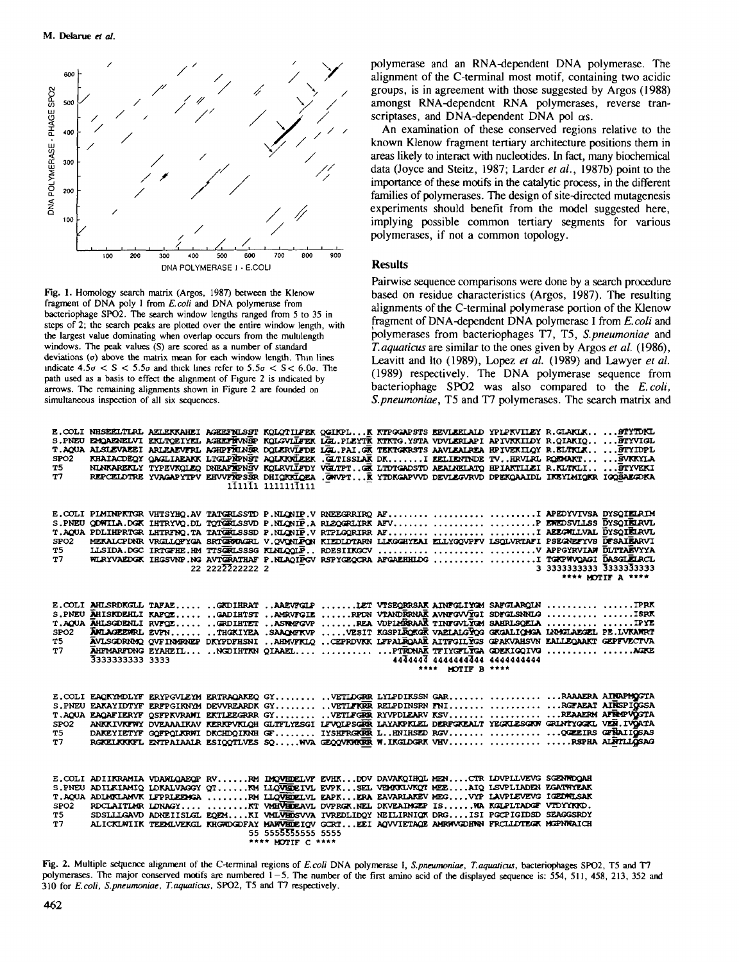

**Fig.** 1. Homology search matrix (Argos, 1987) between the Klenow fragment of DNA poly I from *E. coti* and DNA polymerase from bacteriophage SPO2. The search window lengths ranged from 5 to 35 in steps of 2; the search peaks are plotted over the entire window length, with the largest value dominating when overlap occurs from the mululength windows. The peak values (S) are scored as a number of standard deviations  $(0)$  above the matrix mean for each window length. Thin lines indicate  $4.5\sigma < S < 5.5\sigma$  and thick lines refer to  $5.5\sigma < S < 6.0\sigma$ . The path used as a basis to effect the alignment of Figure 2 is indicated by arrows. The remaining alignments shown in Figure 2 are founded on simultaneous inspection of all six sequences.

polymerase and an RNA-dependent DNA polymerase. The alignment of the C-terminal most motif, containing two acidic groups, is in agreement with those suggested by Argos (1988) amongst RNA-dependent RNA polymerases, reverse transcriptases, and DNA-dependent DNA pol  $\alpha s$ .

An examination of these conserved regions relative to the known Klenow fragment tertiary architecture positions them in areas likely to interact with nucleotides. In fact, many biochemical data (Joyce and Steitz, 1987; Larder *et al.,* 1987b) point to the importance of these motifs in the catalytic process, in the different families of polymerases. The design of site-directed mutagenesis experiments should benefit from the model suggested here, implying possible common tertiary segments for various polymerases, if not a common topology.

## **Results**

Pairwise sequence comparisons were done by a search procedure based on residue characteristics (Argos, 1987). The resulting alignments of the C-terminal polymerase portion of the Klenow fragment of DNA-dependent DNA polymerase I from *E.coli* and polymerases from bacteriophages T7, T5, *S.pneumoniae* and *T.aquaticus* are similar to the ones given by Argos *et al.* (1986), Leavitt and Ito (1989), Lopez *et al.* (1989) and Lawyer *et al.* (1989) respectively. The DNA polymerase sequence from bacteriophage SPO2 was also compared to the *E.coli, S.pneumoniae,* T5 and T7 polymerases. The search matrix and

**OTVENT** 

| SPO2<br><b>T5</b><br>T7     | E. COLI NHSEELTIRL AELEKKAHEI AGEEFRILSST KOLOTILFEK QGIKPLK KTPGGAPSTS EEVLEELAID YPIPKVILEY R.GLAKIKSTYTDKL<br>S.PNEU EMOAERELVI EKLIOEIYEL AGEEFEWNEP KOLGVILFEK LGE.PLEYTK KTKTG.YSTA VDVLERLAPI APIVKKILDY R.QIAKIQ BTYVIGL<br>T. AQUA ALSIEVAEEI ARLEAEVFRL AGHPFHLNSR DOLERVLFDE LGL.PAI.GR TEKTGKRSTS AAVLEALREA HPIVEKILQY R. ELTKLK, BTYIDPL | KHAIACDEOY OAGLIAEAKK LTGLPÄPNST AOLKKVÜZEK. GLIISSLAK DKI ZELIENTNDE TVHRVLFL ROZMAKT  SVKKYLA<br>NLNKAREKLY TYPEVKOLEO DNEAFTERSV KOLRVIIFDY VGLTPTGK LIDTGADSTD AEALNELATO HPIAKTILEI R.KLTKLI STYVEKI<br>REPCELDTRE YVAGAPYTPV EHVVFRPSER DHIQRRIQEA , GWVPT K YTDKGAPVVD DEVLEGVRVD DPEKQAAIDL IKEYIMIQKR IGQSAEGDKA |                 | 111111 11111111111                      |  |                                                  |                         |                   |
|-----------------------------|--------------------------------------------------------------------------------------------------------------------------------------------------------------------------------------------------------------------------------------------------------------------------------------------------------------------------------------------------------|---------------------------------------------------------------------------------------------------------------------------------------------------------------------------------------------------------------------------------------------------------------------------------------------------------------------------|-----------------|-----------------------------------------|--|--------------------------------------------------|-------------------------|-------------------|
| SPO2<br>T5 I<br>T7          | E. COLI PLMINPRTGR VHTSYHQ. AV TATGRLSSTD P. NLQNIP. V RNEEGRRIRQ AF  APEDYVIVSA DYSQIELRIM<br>S.PNEU QOWILA.DGK IHTRYVQ.DL TOTGELSSVD P.NLONIP.A RLEQGELIRK AFV   PEWEDSVILLSS DYSQIELRVL<br>T.AQUA PDLIHPRTGR LHTRFNQ.TA TATGELSSSD P.NLQNIP.V RTPLGQRIRR AFI AEEGHLLVAL DYSQIELRVL                                                                  | MEKALCPDNR VRGLIQFYGA SRTGEODAGRL V.QVQNLPQN KIEDIDTARN LLKGGHYEAI ELLYGQVPFV LSQLVRTAFI PSEGNEFYVS DFSAIEARVI<br>WIRYVAEDGK IHGSVNP.NG AVTGRATHAF P.NLAQIPGV RSPYGEQCRA AFGAEHHLDG  I TGRPWQAGI DASGLEIRCL                                                                                                               | 22 2222222222 2 |                                         |  |                                                  | 3 3333333333 3333333333 | **** MOTIF A **** |
| SPO2<br>T5 I<br>T7          | E. COLI AHLSRDKGLL TAFAE  GKDIHRAT AAEVFGLP LET VTSEQRRSAK AINFGLIYGM SAFGLARQLN IPRK<br>S.PNEU AHISKDEHLI KAPOE AADIHTST REDR VTANDRRNAK AVNFOVVVOI SDFOLSNNLO  ISRK<br>T.AQUA AHLSGDENLI RVFOE GRDIHTET ASTANTGVP REA VOPIMERAAK TINTGVLYGM SAHRLSOELA  IPYE<br>3333333333 3333                                                                      | ANLAGEENRL EVIN THGKIYEA .SAAQMIKVP VESIT KGSPLROKGK VAELALGYQG GKGALIQMGA LAMGLAEGEL PE.LVKANRT<br>AVLSGORNAQ QVFINARNEP DKYPOFHSNI AHMVFKLQ CEPRDVKK LFFALEQAAR AITFGILYGS GPAKVAHSVN EALLEQAAKT GEPFVECTVA<br>AHFMARFDNG EYAHEIL NGDIHTKN QIAAEL   PTRONAK TFIYGTLYGA GOEKIGQIVG  AGEC                                 |                 |                                         |  | 444444 4444444444 444444444<br>**** MOTIF B **** |                         |                   |
| SPO2<br>T5 I<br>T7.         | E. COLI EAQKYMDLYF ERYPGVLEYM ERTRAQAKEQ GY VETLDGRR LYLPDIKSSN GAR RAAAERA AIRAPMOGTA<br>S.PNEU EAKAYIDTYF ERFPGIRNYM DEVVREARDK GY VETLFKRR RELPDINSRN FNI  RGFAEAT AIRSPIGGSA<br>T.AQUA EAQAFIERYF QSFPKVRAMI EKTLEEGRRR GY VETLFGRR RYVPDLEARV KSV  REAAERM AFRAPVOGTA                                                                             | ANKKIVKITWY DVEAAAIKAV KIRKPVKIQH GLITIJYESGI LIVQIPSGRR LAYAKPKIEL DERFGKEALT YEGKIESGKW GRINTYGGKU VER.IVQATA<br>DAKEYIETYF GOFFOLKRWI DKCHDOIKNH GF IYSHFRGKKR LHNIHSED RGV QGEEIRS GFRAIIGSAS<br>RGKELKKKFL ENTPAIAALR ESIQQTLVES SQWVA GEQQVKWKKR W.IKGLDGRK VHV RSPHA ALNTILLGSAG                                   |                 |                                         |  |                                                  |                         |                   |
| SPO2<br>T5 <b>T</b><br>T7 . | E. COLI ADIIKRAMIA VDANLOAEOP RVRM IMOVEDELVF EVHKDOV DAVAKOIHOL MENCTR LDVPLLVEVG SGENWOOAH<br>S. PNEU ADILKIAMIQ LDKALVAGGY QT KM LLQVEDEIVL EVPK SEL VEMKLUKQT MEE AIQ LSVPLIADEN EGATWYEAK<br>T. AQUA ADLARILANVK LFPRLEEMGA RM LLQVEDELVL EAPKERA EAVARLAKEV MEGVYP LAVPLEVEVG IGEDWILSAK                                                         | ROCLAITLAR LONAGY KT VARVEDEAVL DVPRGK.NEL DKVEAIMGEP ISWA KGLPLTADGF VTDYYKKO.<br>SDSLLLGAVD ADNEIISLGL EQEMKI VMLVHDSVVA IVREDLIDQY NEILIRNIQK DRGISI PGCPIGIDSD SEAGGSRDY<br>ALICKLWIIK TEEMLVEKGL KHGWOGDFAY MAWVHOEIOV GORTEEI AOVVIETAOE AMRWVGDHWN FROLLDTEGK MGPNWAICH                                            |                 | 55 5555555555 5555<br>**** MOTIF C **** |  |                                                  |                         |                   |

Fig. 2. Multiple setuence alignment of the C-terminal regions of *E.coli* DNA polymerase I, S.pneumoniae, T.aquaticus, bacteriophages SPO2, T5 and T7 polymerases. The major conserved motifs are numbered  $\overline{1} - 5$ . The number of the first amino acid of the displayed sequence is: 554, 511, 458, 213, 352 and 310 for *E.coli, S.pneumoniae, T.aquaticus,* SPO2, T5 and T7 respectively.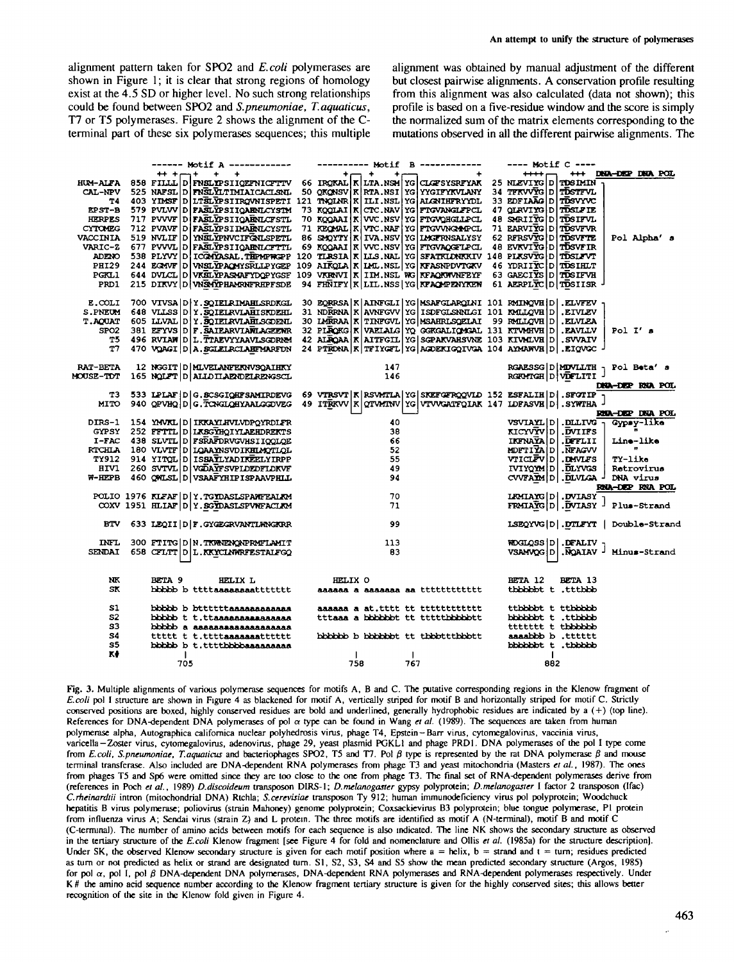alignment pattern taken for SPO2 and *E.coli* polymerases are shown in Figure 1; it is clear that strong regions of homology exist at the 4.5 SD or higher level. No such strong relationships could be found between SPO2 and *S.pneumoniae, T.aquaticus,* T7 or T5 polymerases. Figure 2 shows the alignment of the Cterminal part of these six polymerases sequences; this multiple

alignment was obtained by manual adjustment of the different but closest pairwise alignments. A conservation profile resulting from this alignment was also calculated (data not shown); this profile is based on a five-residue window and the score is simply the normalized sum of the matrix elements corresponding to the mutations observed in all the different pairwise alignments. The

|                                          |               |     |         |         | ------ Motif A ------------                |  |         |       |            |     | ---------- Motif B ------------                                                                              | ---- Motif C ---- |     |                                                                           |                        |                 |  |
|------------------------------------------|---------------|-----|---------|---------|--------------------------------------------|--|---------|-------|------------|-----|--------------------------------------------------------------------------------------------------------------|-------------------|-----|---------------------------------------------------------------------------|------------------------|-----------------|--|
|                                          |               |     | $+ + +$ |         |                                            |  |         | $+ -$ | $+$<br>÷., |     | $+$                                                                                                          | $***$             |     | +++ DNA-DEP DNA POL                                                       |                        |                 |  |
|                                          |               |     |         |         |                                            |  |         |       |            |     | HUM-ALFA 858 FILLLD FNSLYPSIIOEFNICFTTV 66 IROKAL KLITA.NSM YG CLOFSYSRFYAK 25 NLEVIYG D TOSIMIN             |                   |     |                                                                           |                        |                 |  |
|                                          |               |     |         |         |                                            |  |         |       |            |     | CAL-NPV 525 NAFSL DIFNSLVILTIMIAICACLSNL 50 OKONSV KRTA.NSI YG YYGIFYKVLANY 34 TFKVVYG DITOSTFVL             |                   |     |                                                                           |                        |                 |  |
|                                          |               |     |         |         |                                            |  |         |       |            |     | T4 403 YIMSF D LTŠLVPSIIRQVNISPETI 121 TNOLNR K ILLI.NSL YG ALGNIHFRYYDL 33 EDFIAAG D TUSYYVC                |                   |     |                                                                           |                        |                 |  |
|                                          |               |     |         |         |                                            |  |         |       |            |     | EPST-B 579 PVLVV D FASLYPSIIQAENICYSTM 73 KQQLAI K CTC.NAV YG FTGVANGLFPCL 47 QLRVIYG D TOSLFIE              |                   |     |                                                                           |                        |                 |  |
| <b>HERPES</b>                            |               |     |         |         | 717 PVVVF D FASLYPSIIQAENLCFSTL            |  |         |       |            |     | 70 KOOAAI K WC.NSV YG FIGVOHGLIPCL 48 SHRIIYG D TOSIFVL                                                      |                   |     |                                                                           |                        |                 |  |
| <b>CYTOMEG</b>                           |               |     |         |         | 712 PVAVF D FASLYPSI IMAENICYSTL           |  |         |       |            |     | 71 REQMAL R VTC.NAF YG FTGVVNGAPPCL 71 EARVIYG D TOSVFVR                                                     |                   |     |                                                                           |                        |                 |  |
| VACCINIA 519 NVLIF D YNSLYPNVCIFGNLSPETL |               |     |         |         |                                            |  |         |       |            |     | 86 SMOYTY K IVA.NSV YG LMGFRNSALYSY 62 RFRSVYG D TOSVFTE                                                     |                   |     |                                                                           |                        | Pol Alpha's     |  |
| VARIC-2 677 PVVVL D FASLYPSIIQAENLCFTTL  |               |     |         |         |                                            |  |         |       |            |     | 69 KOOAAI K VVC.NSV YG FIGVAOGTLPCL 48 EVKVIYG D TOSVFIR                                                     |                   |     |                                                                           |                        |                 |  |
|                                          |               |     |         |         |                                            |  |         |       |            |     | ADENO 538 PLYVY D ICGNYASAL. THEMPWGPP 120 TLRSIA K LLS. NAL YG SFATKLONKKIV 148 PLKSVYG D TISLFVT           |                   |     |                                                                           |                        |                 |  |
|                                          |               |     |         |         |                                            |  |         |       |            |     | PHI29 244 EGMVF D VNSLYPAQMYSRLLPYGEP 109 AIRQLA K LML. NSL YG KFASNPDVTGKV 46 YDRIIYC D TOSIHLT             |                   |     |                                                                           |                        |                 |  |
| PGRL1                                    |               |     |         |         |                                            |  |         |       |            |     | 644 DVLCL D VKELVPASMAFYDQPYGSF 109 VKRNVI K IIM.NSL WG KFAQKWVNFEYF 63 GAECIYS D TOSIFVH                    |                   |     |                                                                           |                        |                 |  |
| PRD1                                     |               |     |         |         | 215 DIKVY D WSMYPHAMENFRHPFSDE             |  |         |       |            |     | 94 FHNIFY   K   LIL. NSS   YG   KFAQMPENYKEW 61 AERPLYC   D   TUSIISR                                        |                   |     |                                                                           |                        |                 |  |
| $E. \text{COLI}$                         |               |     |         |         | 700 VIVSA D Y.SQIELRIMAHLSRDKGL            |  |         |       |            |     | 30 EQRRSA   K   AINFGLI   YG   MSAFGLARQINI 101 RMINQVH   D   . ELVFEV                                       |                   |     |                                                                           |                        |                 |  |
| S.PNEUM 648 VILSS D Y.SOIELRVLAHISKDEHL  |               |     |         |         |                                            |  |         |       |            |     | 31 NDRRNA   K   AVNFGVV   YG   ISDFGLSNNLGI 101 NMLLQVH   D   . EIVLEV                                       |                   |     |                                                                           |                        |                 |  |
| T.AQUAT 605 LLVAL D Y.SQIELRVLAHLSCOENL  |               |     |         |         |                                            |  |         |       |            |     | 30 LMRRAA   X   TINFGVL   YG   MSAHRLSQELAI 99 RMLLQVH   D   . ELVLEA                                        |                   |     |                                                                           |                        |                 |  |
| SPO <sub>2</sub>                         |               |     |         |         | 381 EFYVS D F. SAIEARVIANLAGEENR           |  |         |       |            |     | 32 PIROKG K VAEIAIG YO GGKGALIOMGAL 131 KTVMHVH D .EAVILV                                                    |                   |     |                                                                           | Pol $I'$ s             |                 |  |
| Τ5                                       |               |     |         |         | 496 RVIAW D L. TTAEVYYAAVLSGORMM           |  |         |       |            |     | 42 ALROAA KAITFGIL YG SGPAKVAHSVAE 103 KIVMLVE D. SVVAIV                                                     |                   |     |                                                                           |                        |                 |  |
| T7                                       |               |     |         |         | 470 VOAGI D A. SGLELRCLAHTMARFUN           |  |         |       |            |     | 24 PTEDNA K TIYGTL YG AGDEKIGQIVGA 104 AYMAWVH D .EIQVGC -                                                   |                   |     |                                                                           |                        |                 |  |
|                                          |               |     |         |         |                                            |  |         |       |            |     |                                                                                                              |                   |     |                                                                           |                        |                 |  |
| <b>RAT-BETA</b>                          |               |     |         |         | 12 NGGIT D MLVELANFERNVSQAIHKY             |  |         |       |            |     | $\frac{147}{146}$                                                                                            |                   |     | RGAESSG D MDVLLTH - Pol Beta's<br>RGAESSG D MDVLLTH<br>RGRMTGH D VDFLITI] |                        |                 |  |
| <b>MOUSE-TDT</b>                         |               |     |         |         | 165 NOLFT D ALLO ILAENDELRENGSCL           |  |         |       |            |     |                                                                                                              |                   |     |                                                                           |                        |                 |  |
|                                          |               |     |         |         |                                            |  |         |       |            |     |                                                                                                              |                   |     |                                                                           |                        | DNA-DEP RNA POL |  |
| тз.                                      |               |     |         |         |                                            |  |         |       |            |     | 533 IPIAF   D   G. SCSGIQHFSAMIRDEVG 69 VTRSVT   K   RSVMTLA   YG   SKEFGFRQQVID 152 ESFALIH   D   . SFOTIP  |                   |     |                                                                           |                        |                 |  |
|                                          |               |     |         |         |                                            |  |         |       |            |     | MITO 940 QPVHQ D G. TONH QHYAALGOUEG 49 ITRKVV   K   QTVMINV   YG   VTVVGATFQ LAK 147 IDFASVH   D   . SYWTHA |                   |     |                                                                           |                        |                 |  |
|                                          |               |     |         |         |                                            |  |         |       | 40         |     |                                                                                                              |                   |     |                                                                           |                        | RNA-DEP DNA POL |  |
| DIRS-1 154 YMVKL D IKKAYLHVLVDPQYRDLFR   |               |     |         |         | GYPSY 252 FFTTL D LKSGYHQIYLAEHDREKTS      |  |         |       | 38         |     |                                                                                                              |                   |     | VSVIAYL   D  DLLIVG -<br>KICYVYV D .DVIIFS                                |                        | Gypsy-like      |  |
|                                          |               |     |         |         |                                            |  |         |       | 66         |     |                                                                                                              |                   |     | IKTNAŸA D , DETLII                                                        |                        | Line-like       |  |
| RTCHLA 180 VLVTF D LOAAYNSVDIKHLMOTLOL   |               |     |         |         | I-FAC 438 SLVTL D FSRAFDRVGVHSIIQQLQE      |  |         |       | 52         |     |                                                                                                              |                   |     | MDFTIVAD REAGVV                                                           | <b>Contract Market</b> |                 |  |
|                                          |               |     |         |         | TY912 914 YITOL D ISSAYLYADIKEELYIRPP      |  |         |       | 55         |     |                                                                                                              |                   |     | VIICLFVD. DAVLFS                                                          | TY-like                |                 |  |
| <b>HIV1</b>                              |               |     |         |         | 260 SVTVL D VGDAYFSVPLDEDFLDKVF            |  |         |       | - 49       |     |                                                                                                              |                   |     | IVIYOVM D. DLYVGS                                                         |                        | Retrovirus      |  |
| $W$ -HEPB                                |               |     |         |         | 460 QWLSL D VSAAFYHIPISPAAVPHLL            |  |         |       | 94         |     |                                                                                                              |                   |     | CVVFARM D . DLVLGA J DNA virus                                            |                        |                 |  |
|                                          |               |     |         |         |                                            |  |         |       |            |     |                                                                                                              |                   |     |                                                                           |                        | RNA-DEP RNA POL |  |
|                                          |               |     |         |         | POLIO 1976 KLFAF   D   Y.TGYDASLSPANTEALKM |  |         |       | - 70       |     |                                                                                                              |                   |     | LRMAYG D .DVIASY                                                          |                        |                 |  |
|                                          |               |     |         |         | COXV 1951 HLIAF D Y. SGYDASLSPVNFACLAM     |  |         |       | 71         |     |                                                                                                              |                   |     | FRMIAYG D   DVIASY - Plus-Strand                                          |                        |                 |  |
|                                          |               |     |         |         |                                            |  |         |       |            |     |                                                                                                              |                   |     |                                                                           |                        |                 |  |
|                                          |               |     |         |         | BTV 633 LEQII   D   F. GYGEGRVANTLANGKRR   |  |         |       | - 99       |     |                                                                                                              |                   |     | LSEQYVG   D   DTLFYT   Double-Strand                                      |                        |                 |  |
| <b>INFL</b>                              |               |     |         |         | 300 FTITG D N. TKWAENQNPRMFLAMIT           |  |         |       | 113        |     |                                                                                                              |                   |     | $MDGLOSS D $ . DEALIV <sub>1</sub>                                        |                        |                 |  |
| SENDAI                                   |               |     |         |         | 658 CFLTT D L.KKYCLNWRFESTALFGQ            |  |         |       | 83         |     |                                                                                                              |                   |     | VSAMVOG D . NOAIAV J Minus-Strand                                         |                        |                 |  |
|                                          |               |     |         |         |                                            |  |         |       |            |     |                                                                                                              |                   |     |                                                                           |                        |                 |  |
|                                          |               |     |         |         |                                            |  |         |       |            |     |                                                                                                              |                   |     |                                                                           |                        |                 |  |
| NK                                       | <b>BETA 9</b> |     |         | HELIX L |                                            |  | HELIX O |       |            |     |                                                                                                              | BETA 12           |     | BETA 13                                                                   |                        |                 |  |
| SK                                       |               |     |         |         |                                            |  |         |       |            |     |                                                                                                              |                   |     | thbbbbt t .tttbbb                                                         |                        |                 |  |
| S1                                       |               |     |         |         | bbbbb b bttttttaaaaaaaaaaaa                |  |         |       |            |     |                                                                                                              |                   |     | ttbbbbt t ttbbbbb                                                         |                        |                 |  |
| s2                                       |               |     |         |         | bbbbb t t.ttaaaaaaaaaaaaaa                 |  |         |       |            |     | tttaaa a bbbbbbt tt tttttbbbbbtt                                                                             |                   |     | bbbbbbt t .ttbbbb                                                         |                        |                 |  |
| 33                                       |               |     |         |         | bbbbb a asaaaaaaaaaaaaaaaa                 |  |         |       |            |     |                                                                                                              |                   |     | ttttttt t thbbbbb                                                         |                        |                 |  |
| <b>S4</b>                                |               |     |         |         | ttttt t t.ttttaaaaaaaatttttt               |  |         |       |            |     | bbbbbb b bbbbbbt tt tbbbtttbbbtt                                                                             |                   |     | aaaabbb b .tttttt                                                         |                        |                 |  |
| 35                                       |               |     |         |         | bbbbb b t.ttttbbbbaaaaaaaa                 |  |         |       |            |     |                                                                                                              |                   |     | bbbbbbt t.thbbbb                                                          |                        |                 |  |
| κŧ                                       |               |     |         |         |                                            |  |         |       |            |     |                                                                                                              |                   |     |                                                                           |                        |                 |  |
|                                          |               | 705 |         |         |                                            |  |         | 758   |            | 767 |                                                                                                              |                   | 882 |                                                                           |                        |                 |  |

Fig. 3. Multiple alignments of various polymerase sequences for motifs A, B and C. The putative corresponding regions in the Klenow fragment of *E.coli* pol I structure are shown in Figure 4 as blackened for motif A, vertically striped for motif B and horizontally striped for motif C. Strictly conserved positions are boxed, highly conserved residues are bold and underlined, generally hydrophobic residues are indicated by a (+) (top line). References for DNA-dependent DNA polymerases of pol  $\alpha$  type can be found in Wang et al. (1989). The sequences are taken from human polymerase alpha, Autographies califomica nuclear polyhedrosis virus, phage T4, Epstein —Barr virus, cytomegalovirus, vaccinia virus, varicella-Zoster virus, cytomegalovirus, adenovirus, phage 29, yeast plasmid PGKL1 and phage PRD1. DNA polymerases of the pol I type come from *E.coli, S.pneumoniae, T.aquaticus* and bacteriophages SPO2, T5 and T7. Pol *0* type is represented by the rat DNA polymerase *0* and mouse terminal transferase. Also included arc DNA-dependent RNA polymerases from phage T3 and yeast mitochondria (Masters *et al.,* 1987). The ones from phages T5 and Sp6 were omitted since they are too close to the one from phage T3. The final set of RNA-dependent polymerases derive from (references in Poch *et al.,* 1989) *D.discoidcum* transposon DIRS-1; *D.melanogastcr* gypsy polyprotein; *D.melanogaster* I factor 2 transposon (Ifac) *C.rheinardlii* intron (mitochondrial DNA) Rtchla; *S.cerevisiae* transposon Ty 912; human immunodeficiency virus pol polyprotein; Woodchuck hepatitis B virus polymerase; poliovirus (strain Mahoney) genome polyprotein; Coxsackievirus B3 polyprotein; blue tongue polymerase, PI protein from influenza virus A; Sendai virus (strain Z) and L protein. The three motifs are identified as motif A (N-terminal), motif B and motif C (C-terrrunal). The number of amino acids between motifs for each sequence is also indicated. The line NK shows the secondary structure as observed in the tertiary structure of the *E.coli* Klenow fragment [see Figure 4 for fold and nomenclature and Ollis *et al.* (1985a) for the structure description). Under SK, the observed Klenow secondary structure is given for each motif position where  $a = helix$ ,  $b = strand$  and  $t = turn$ ; residues predicted as turn or not predicted as helix or strand are designated turn. SI, S2, S3, S4 and S5 show the mean predicted secondary structure (Argos, 1985) for pol  $\alpha$ , pol I, pol  $\beta$  DNA-dependent DNA polymerases, DNA-dependent RNA polymerases and RNA-dependent polymerases respectively. Under K # the amino acid sequence number according to the KJenow fragment tertiary structure is given for the highly conserved sites; this allows better recognition of the site in the Klenow fold given in Figure 4.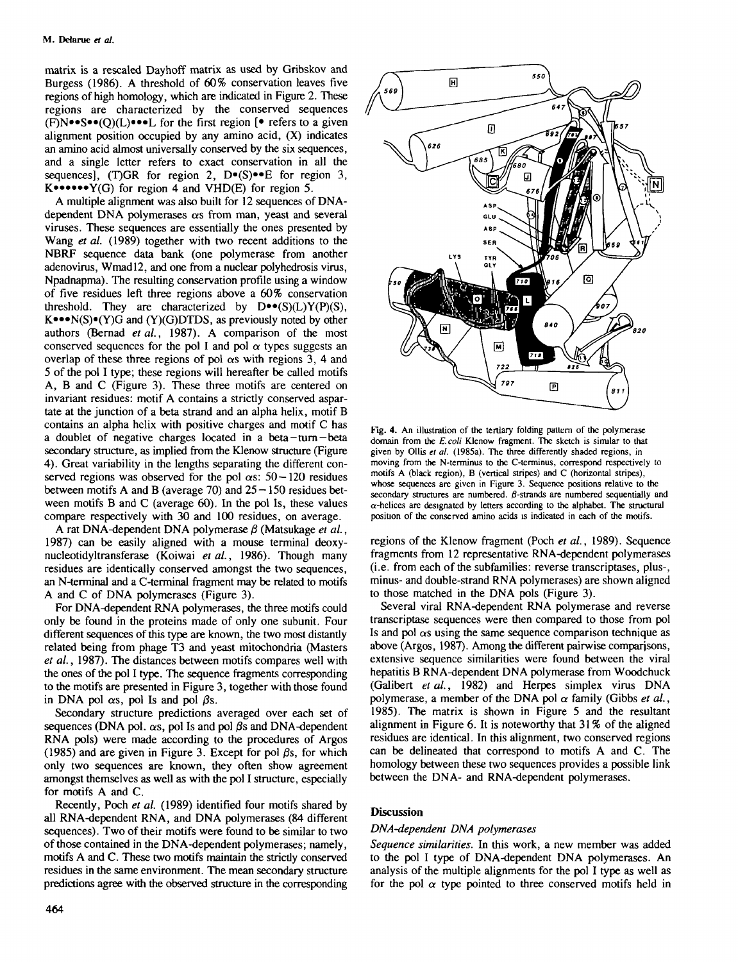matrix is a rescaled Dayhoff matrix as used by Gribskov and Burgess (1986). A threshold of 60% conservation leaves five regions of high homology, which are indicated in Figure 2. These regions are characterized by the conserved sequences  $(F)N \bullet S \bullet (Q)(L) \bullet \bullet \bullet L$  for the first region  $[ \bullet \]$  refers to a given alignment position occupied by any amino acid, (X) indicates an amino acid almost universally conserved by the six sequences, and a single letter refers to exact conservation in all the sequences], (T)GR for region 2, D.(S).E for region 3,  $K$ •••••• $Y(G)$  for region 4 and VHD(E) for region 5.

A multiple alignment was also built for 12 sequences of DNAdependent DNA polymerases  $\alpha$ s from man, yeast and several viruses. These sequences are essentially the ones presented by Wang *et al.* (1989) together with two recent additions to the NBRF sequence data bank (one polymerase from another adenovirus, Wmadl2, and one from a nuclear polyhedrosis virus, Npadnapma). The resulting conservation profile using a window of five residues left three regions above a 60% conservation threshold. They are characterized by  $D^{\bullet\bullet}(S)(L)Y(P)(S)$ ,  $K^{\bullet\bullet\bullet}N(S)\bullet(Y)G$  and  $(Y)(G)DTDS$ , as previously noted by other authors (Bemad *et al.,* 1987). A comparison of the most conserved sequences for the pol I and pol  $\alpha$  types suggests an overlap of these three regions of pol  $\alpha s$  with regions 3, 4 and 5 of the pol I type; these regions will hereafter be called motifs A, B and C (Figure 3). These three motifs are centered on invariant residues: motif A contains a strictiy conserved aspartate at the junction of a beta strand and an alpha helix, motif B contains an alpha helix with positive charges and motif C has a doublet of negative charges located in a beta-turn-beta secondary structure, as implied from the Klenow structure (Figure 4). Great variability in the lengths separating the different conserved regions was observed for the pol  $\alpha s$ : 50 - 120 residues between motifs A and B (average 70) and  $25 - 150$  residues between motifs B and C (average 60). In the pol Is, these values compare respectively with 30 and 100 residues, on average.

A rat DNA-dependent DNA polymerase  $\beta$  (Matsukage *et al.*, 1987) can be easily aligned with a mouse terminal deoxynucleotidyltransferase (Koiwai *etal.,* 1986). Though many residues are identically conserved amongst the two sequences, an N-terminal and a C-terminal fragment may be related to motifs A and C of DNA polymerases (Figure 3).

For DNA-dependent RNA polymerases, the three motifs could only be found in the proteins made of only one subunit. Four different sequences of this type are known, the two most distantly related being from phage T3 and yeast mitochondria (Masters *et al.,* 1987). The distances between motifs compares well with the ones of the pol I type. The sequence fragments corresponding to the motifs are presented in Figure 3, together with those found in DNA pol  $\alpha s$ , pol Is and pol  $\beta s$ .

Secondary structure predictions averaged over each set of sequences (DNA pol.  $\alpha s$ , pol Is and pol  $\beta s$  and DNA-dependent RNA pols) were made according to the procedures of Argos (1985) and are given in Figure 3. Except for pol  $\beta s$ , for which only two sequences are known, they often show agreement amongst themselves as well as with the pol I structure, especially for motifs A and C.

Recently, Poch *et al.* (1989) identified four motifs shared by all RNA-dependent RNA, and DNA polymerases (84 different sequences). Two of their motifs were found to be similar to two of those contained in the DNA-dependent polymerases; namely, motifs A and C. These two motifs maintain the strictly conserved residues in the same environment. The mean secondary structure predictions agree with the observed structure in the corresponding



**Fig. 4.** An illustration of the tertiary folding pattern of the polymerase domain from the *E.coli* Klenow fragment. The sketch is similar to that given by Ollis *et al.* (1985a). The three differently shaded regions, in moving from the N-terminus to the C-terminus, correspond respectively to motifs A (black region), B (vertical stripes) and C (horizontal stripes), whose sequences are given in Figure 3. Sequence positions relative to the secondary structures are numbered.  $\beta$ -strands are numbered sequentially and  $\alpha$ -helices are designated by letters according to the alphabet. The structural position of the conserved amino acids is indicated in each of the motifs.

regions of the Klenow fragment (Poch *et al.*, 1989). Sequence fragments from 12 representative RNA-dependent polymerases (i.e. from each of the subfamilies: reverse transcriptases, plus-, minus- and double-strand RNA polymerases) are shown aligned to those matched in the DNA pols (Figure 3).

Several viral RNA-dependent RNA polymerase and reverse transcriptase sequences were then compared to those from pol Is and pol  $\alpha$ s using the same sequence comparison technique as above (Argos, 1987). Among the different pairwise comparisons, extensive sequence similarities were found between the viral hepatitis B RNA-dependent DNA polymerase from Woodchuck (Galibert *et al.*, 1982) and Herpes simplex virus DNA polymerase, a member of the DNA pol  $\alpha$  family (Gibbs *et al.*, 1985). The matrix is shown in Figure 5 and the resultant alignment in Figure 6. It is noteworthy that 31 % of the aligned residues are identical. In this alignment, two conserved regions can be delineated that correspond to motifs A and C. The homology between these two sequences provides a possible link between the DNA- and RNA-dependent polymerases.

## **Discussion**

## *DNA-dependent DNA polymerases*

*Sequence similarities.* In this work, a new member was added to the pol I type of DNA-dependent DNA polymerases. An analysis of the multiple alignments for the pol I type as well as for the pol  $\alpha$  type pointed to three conserved motifs held in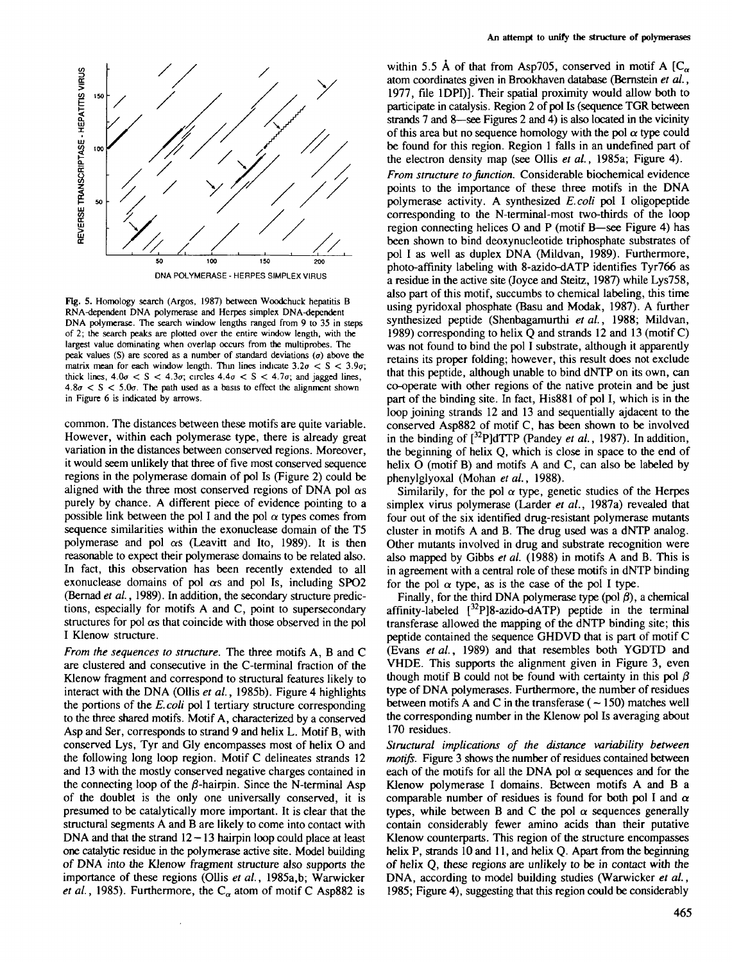

**Fig. 5.** Homology search (Argos, 1987) between Woodchuck hepatitis B RNA-dependent DNA polymerase and Herpes simplex DNA-dependent DNA polymerase. The search window lengths ranged from 9 to 35 in steps of 2; the search peaks are plotted over the entire window length, with the largest value dominating when overlap occurs from the multiprobes. The peak values (S) are scored as a number of standard deviations  $(\sigma)$  above the matrix mean for each window length. Thin lines indicate  $3.2\sigma < S < 3.9\sigma$ ; thick lines,  $4.0\sigma < S < 4.3\sigma$ ; circles  $4.4\sigma < S < 4.7\sigma$ ; and jagged lines,  $4.8\sigma < S < 5.0\sigma$ . The path used as a basis to effect the alignment shown in Figure 6 is indicated by arrows.

common. The distances between these motifs are quite variable. However, within each polymerase type, there is already great variation in the distances between conserved regions. Moreover, it would seem unlikely that three of five most conserved sequence regions in the polymerase domain of pol Is (Figure 2) could be aligned with the three most conserved regions of DNA pol  $\alpha s$ purely by chance. A different piece of evidence pointing to a possible link between the pol I and the pol  $\alpha$  types comes from sequence similarities within the exonuclease domain of the T5 polymerase and pol  $\alpha s$  (Leavitt and Ito, 1989). It is then reasonable to expect their polymerase domains to be related also. In fact, this observation has been recently extended to all exonuclease domains of pol  $\alpha s$  and pol Is, including SPO2 (Bernad *et al.,* 1989). In addition, the secondary structure predictions, especially for motifs A and C, point to supersecondary structures for pol  $\alpha s$  that coincide with those observed in the pol I Klenow structure.

*From the sequences to structure.* The three motifs A, B and C are clustered and consecutive in the C-terminal fraction of the Klenow fragment and correspond to structural features likely to interact with the DNA (Ollis *et al.,* 1985b). Figure 4 highlights the portions of the *E. coli* pol I tertiary structure corresponding to the three shared motifs. Motif A, characterized by a conserved Asp and Ser, corresponds to strand 9 and helix L. Motif B, with conserved Lys, Tyr and Gly encompasses most of helix O and the following long loop region. Motif C delineates strands 12 and 13 with the mostly conserved negative charges contained in the connecting loop of the  $\beta$ -hairpin. Since the N-terminal Asp of the doublet is the only one universally conserved, it is presumed to be catalytically more important. It is clear that the structural segments A and B are likely to come into contact with DNA and that the strand  $12-13$  hairpin loop could place at least one catalytic residue in the polymerase active site. Model building of DNA into the Klenow fragment structure also supports the importance of these regions (Ollis *et al.*, 1985a,b; Warwicker *et al.*, 1985). Furthermore, the  $C_{\alpha}$  atom of motif C Asp882 is

within 5.5 Å of that from Asp705, conserved in motif A  $[C_{\alpha}]$ atom coordinates given in Brookhaven database (Bernstein *et al.*, 1977, file 1DPI)]. Their spatial proximity would allow both to participate in catalysis. Region 2 of pol Is (sequence TGR between strands 7 and 8—see Figures 2 and 4) is also located in the vicinity of this area but no sequence homology with the pol  $\alpha$  type could be found for this region. Region 1 falls in an undefined part of the electron density map (see Ollis *et al.,* 1985a; Figure 4). *From structure to Junction.* Considerable biochemical evidence points to the importance of these three motifs in the DNA polymerase activity. A synthesized *E.coli* pol I oligopeptide corresponding to the N-terminal-most two-thirds of the loop

region connecting helices O and P (motif B—see Figure 4) has been shown to bind deoxynucleotide triphosphate substrates of pol I as well as duplex DNA (Mildvan, 1989). Furthermore, photo-affinity labeling with 8-azido-dATP identifies Tyr766 as a residue in the active site (Joyce and Steitz, 1987) while Lys758, also part of this motif, succumbs to chemical labeling, this time using pyridoxal phosphate (Basu and Modak, 1987). A further synthesized peptide (Shenbagamurthi et al., 1988; Mildvan, 1989) corresponding to helix Q and strands 12 and 13 (motif C) was not found to bind the pol I substrate, although it apparently retains its proper folding; however, this result does not exclude that this peptide, although unable to bind dNTP on its own, can co-operate with other regions of the native protein and be just co-operate with other regions of the halve protein and be just part of the binding site. In fact, Filsoof of port, which is in the loop joining strands 12 and 13 and sequentially ajdacent to the conserved Asp882 of motif C, has been shown to be involved in the binding of  $[{}^{32}P]$ dTTP (Pandey et al., 1987). In addition, the beginning of helix Q, which is close in space to the end of helix O (motif B) and motifs A and C, can also be labeled by phenylglyoxal (Mohan *et al.*, 1988).

Similarily, for the pol  $\alpha$  type, genetic studies of the Herpes simplex virus polymerase (Larder *et al.,* 1987a) revealed that four out of the six identified drug-resistant polymerase mutants cluster in motifs A and B. The drug used was a dNTP analog. Other mutants involved in drug and substrate recognition were also mapped by Gibbs *et al.* (1988) in motifs A and B. This is in agreement with a central role of these motifs in dNTP binding for the pol  $\alpha$  type, as is the case of the pol I type.

Finally, for the third DNA polymerase type (pol  $\beta$ ), a chemical affinity-labeled  $[3^2P]8$ -azido-dATP) peptide in the terminal transferase allowed the mapping of the dNTP binding site; this peptide contained the sequence GHDVD that is part of motif C (Evans *etal.,* 1989) and that resembles both YGDTD and VHDE. This supports the alignment given in Figure 3, even though motif B could not be found with certainty in this pol  $\beta$ type of DNA polymerases. Furthermore, the number of residues between motifs A and C in the transferase ( $\sim$  150) matches well the corresponding number in the Klenow pol Is averaging about 170 residues.

*Structural implications of the distance variability between motifs.* Figure 3 shows the number of residues contained between each of the motifs for all the DNA pol  $\alpha$  sequences and for the Klenow polymerase I domains. Between motifs A and B a comparable number of residues is found for both pol I and  $\alpha$ types, while between B and C the pol  $\alpha$  sequences generally contain considerably fewer amino acids than their putative Klenow counterparts. This region of the structure encompasses helix P, strands 10 and 11, and helix Q. Apart from the beginning of helix Q, these regions are unlikely to be in contact with the DNA, according to model building studies (Warwicker *et al.,* 1985; Figure 4), suggesting that this region could be considerably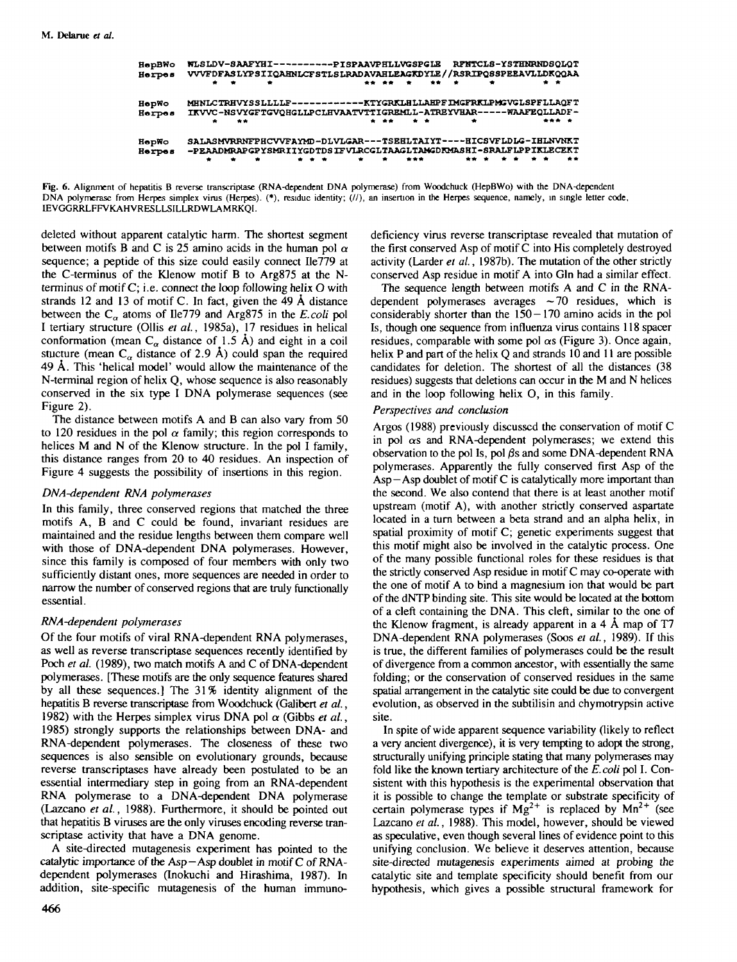| HepBWo<br>Herpes | <b>RFNTCLS-YSTHNRNDSQLQT</b><br>WLSLDV-SAAFYHI-----------PISPAAVPHLLVGSPGLE<br>VVVFDFASLYPSIIQAHNLCFSTLSLRADAVAHLEAGKDYLE//RSRIPQSSPEEAVLLDKQQAA   |
|------------------|----------------------------------------------------------------------------------------------------------------------------------------------------|
|                  | $\bullet$<br>$\frac{1}{2}$<br>** **<br>۰<br>. .                                                                                                    |
| HepWo            | MHNLCTRHVYSSLLLLF-------------KTYGRKLHLLAHPFIMGFRKLPMGVGLSPFLLAOFT<br>IKVVC-NSVYGFTGVQHGLLPCLHVAATVTTIGREMLL-ATREYVHAR-----WAAFEQLLADF-            |
| Herpes           | ۰<br>$\bullet$ $\bullet$<br>$-$<br>**<br>۰                                                                                                         |
| HepWo            | SALASMVRRNFPHCVVFAYMD-DLVLGAR---TSEHLTAIYT----HICSVFLDLG-IHLNVNKT                                                                                  |
| Herpes           | -PEAADMRAPGPYSMRIIYGDTDSIFVLRCGLTAAGLTAMGDKMASHI-SRALFLPPIKLECEKT<br>. .<br>. .<br>$\bullet$<br>. .<br>**<br><b>All Contracts</b><br>***<br>۰<br>۰ |



deleted without apparent catalytic harm. The shortest segment between motifs B and C is 25 amino acids in the human pol  $\alpha$ sequence; a peptide of this size could easily connect Ile779 at the C-terminus of the Klenow motif B to Arg875 at the Nterminus of motif C; i.e. connect the loop following helix O with strands 12 and 13 of motif C. In fact, given the 49 A distance between the  $C_{\alpha}$  atoms of Ile779 and Arg875 in the *E.coli* pol I tertiary structure (Ollis *et al.,* 1985a), 17 residues in helical conformation (mean C<sub> $\alpha$ </sub> distance of 1.5 Å) and eight in a coil stucture (mean  $C_{\alpha}$  distance of 2.9 Å) could span the required 49 A. This 'helical model' would allow the maintenance of the N-terminal region of helix Q, whose sequence is also reasonably conserved in the six type I DNA polymerase sequences (see Figure 2).

The distance between motifs A and B can also vary from 50 to 120 residues in the pol  $\alpha$  family; this region corresponds to helices M and N of the Klenow structure. In the pol I family, this distance ranges from 20 to 40 residues. An inspection of Figure 4 suggests the possibility of insertions in this region.

## *DNA-dependent RNA polymerases*

In this family, three conserved regions that matched the three motifs A, B and C could be found, invariant residues are maintained and the residue lengths between them compare well with those of DNA-dependent DNA polymerases. However, since this family is composed of four members with only two sufficiently distant ones, more sequences are needed in order to narrow the number of conserved regions that are truly functionally essential.

## *RNA-dependent polymerases*

Of the four motifs of viral RNA-dependent RNA polymerases, as well as reverse transcriptase sequences recently identified by Poch et al. (1989), two match motifs A and C of DNA-dependent polymerases. [These motifs are the only sequence features shared by all these sequences.] The 31% identity alignment of the hepatitis B reverse transcriptase from Woodchuck (Galibert *et al.,* 1982) with the Herpes simplex virus DNA pol  $\alpha$  (Gibbs *et al.*, 1985) strongly supports the relationships between DNA- and RNA-dependent polymerases. The closeness of these two sequences is also sensible on evolutionary grounds, because reverse transcriptases have already been postulated to be an essential intermediary step in going from an RNA-dependent RNA polymerase to a DNA-dependent DNA polymerase (Lazcano *et al.*, 1988). Furthermore, it should be pointed out that hepatitis B viruses are the only viruses encoding reverse transcriptase activity that have a DNA genome.

A site-directed mutagenesis experiment has pointed to the catalytic importance of the Asp—Asp doublet in motif C of RNAdependent polymerases (Inokuchi and Hirashima, 1987). In addition, site-specific mutagenesis of the human immunodeficiency virus reverse transcriptase revealed that mutation of the first conserved Asp of motif C into His completely destroyed activity (Larder *et al.*, 1987b). The mutation of the other strictly conserved Asp residue in motif A into Gin had a similar effect.

The sequence length between motifs A and C in the RNAdependent polymerases averages  $\sim$  70 residues, which is considerably shorter than the  $150-170$  amino acids in the pol Is, though one sequence from influenza virus contains 118 spacer residues, comparable with some pol  $\alpha$ s (Figure 3). Once again, helix P and part of the helix O and strands 10 and 11 are possible candidates for deletion. The shortest of all the distances (38 residues) suggests that deletions can occur in the M and N helices and in the loop following helix O, in this family.

#### *Perspectives and conclusion*

Argos (1988) previously discussed the conservation of motif C in pol  $\alpha$ s and RNA-dependent polymerases; we extend this observation to the pol Is, pol  $\beta s$  and some DNA-dependent RNA polymerases. Apparently the fully conserved first Asp of the  $\text{Asp--Asp}$  doublet of motif C is catalytically more important than the second. We also contend that there is at least another motif upstream (motif A), with another strictly conserved aspartate located in a turn between a beta strand and an alpha helix, in spatial proximity of motif C; genetic experiments suggest that this motif might also be involved in the catalytic process. One of the many possible functional roles for these residues is that the strictly conserved Asp residue in motif C may co-operate with the one of motif A to bind a magnesium ion that would be part of the dNTP binding site. This site would be located at the bottom of a cleft containing the DNA. This cleft, similar to the one of the Klenow fragment, is already apparent in a 4 A map of T7 DNA-dependent RNA polymerases (Soos *et al.,* 1989). If this is true, the different families of polymerases could be the result of divergence from a common ancestor, with essentially the same folding; or the conservation of conserved residues in the same spatial arrangement in the catalytic site could be due to convergent evolution, as observed in the subtilisin and chymotrypsin active site.

In spite of wide apparent sequence variability (likely to reflect a very ancient divergence), it is very tempting to adopt the strong, structurally unifying principle stating that many polymerases may fold like the known tertiary architecture of the *E.coli* pol I. Consistent with this hypothesis is the experimental observation that it is possible to change the template or substrate specificity of certain polymerase types if  $Mg^{2+}$  is replaced by  $Mn^{2+}$  (see Lazcano *et al.,* 1988). This model, however, should be viewed as speculative, even though several lines of evidence point to this unifying conclusion. We believe it deserves attention, because site-directed mutagenesis experiments aimed at probing the catalytic site and template specificity should benefit from our hypothesis, which gives a possible structural framework for